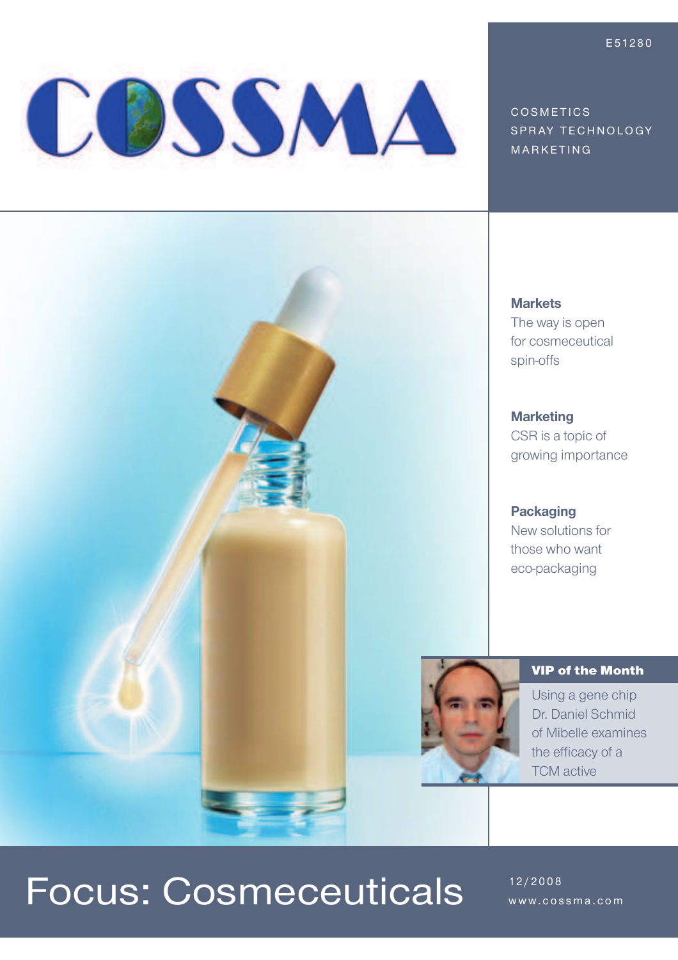# COSSMA

COSMETICS SPRAY TECHNOLOGY **MARKETING** 

#### **Markets**

The way is open for cosmeceutical spin-offs

#### **Marketing**

CSR is a topic of growing importance

**Packaging** New solutions for those who want eco-packaging



VIP of the Month

Using a gene chip Dr. Daniel Schmid of Mibelle examines the efficacy of a TCM active

### Focus: Cosmeceuticals **12/2008**

www.cossma.com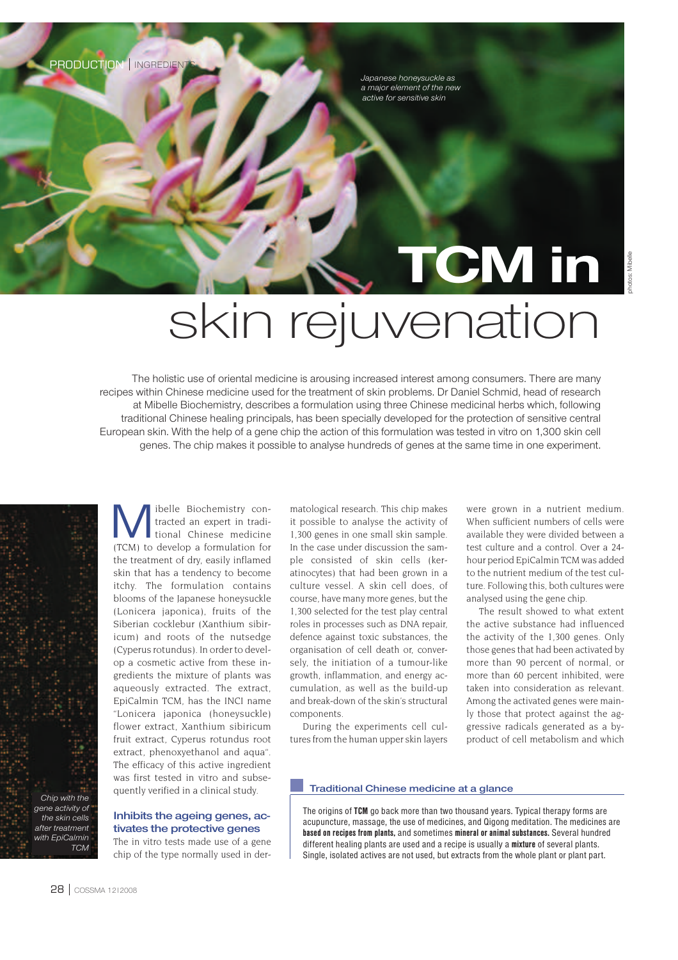PRODUCTION | INGREDIENT

*Japanese honeysuckle as a major element of the new active for sensitive skin*

## **TCM in**  skin rejuvenation

The holistic use of oriental medicine is arousing increased interest among consumers. There are many recipes within Chinese medicine used for the treatment of skin problems. Dr Daniel Schmid, head of research at Mibelle Biochemistry, describes a formulation using three Chinese medicinal herbs which, following traditional Chinese healing principals, has been specially developed for the protection of sensitive central European skin. With the help of a gene chip the action of this formulation was tested in vitro on 1,300 skin cell genes. The chip makes it possible to analyse hundreds of genes at the same time in one experiment.



M ibelle Biochemistry contracted an expert in traditional Chinese medicine (TCM) to develop a formulation for the treatment of dry, easily inflamed skin that has a tendency to become itchy. The formulation contains blooms of the Japanese honeysuckle (Lonicera japonica), fruits of the Siberian cocklebur (Xanthium sibiricum) and roots of the nutsedge (Cyperus rotundus). In order to develop a cosmetic active from these ingredients the mixture of plants was aqueously extracted. The extract, EpiCalmin TCM, has the INCI name "Lonicera japonica (honeysuckle) flower extract, Xanthium sibiricum fruit extract, Cyperus rotundus root extract, phenoxyethanol and aqua". The efficacy of this active ingredient was first tested in vitro and subsequently verified in a clinical study.

#### **Inhibits the ageing genes, activates the protective genes**

The in vitro tests made use of a gene chip of the type normally used in dermatological research. This chip makes it possible to analyse the activity of 1,300 genes in one small skin sample. In the case under discussion the sample consisted of skin cells (keratinocytes) that had been grown in a culture vessel. A skin cell does, of course, have many more genes, but the 1,300 selected for the test play central roles in processes such as DNA repair, defence against toxic substances, the organisation of cell death or, conversely, the initiation of a tumour-like growth, inflammation, and energy accumulation, as well as the build-up and break-down of the skin's structural components.

During the experiments cell cultures from the human upper skin layers

were grown in a nutrient medium. When sufficient numbers of cells were available they were divided between a test culture and a control. Over a 24 hour period EpiCalmin TCM was added to the nutrient medium of the test culture. Following this, both cultures were analysed using the gene chip.

The result showed to what extent the active substance had influenced the activity of the 1,300 genes. Only those genes that had been activated by more than 90 percent of normal, or more than 60 percent inhibited, were taken into consideration as relevant. Among the activated genes were mainly those that protect against the aggressive radicals generated as a byproduct of cell metabolism and which

#### **Traditional Chinese medicine at a glance**

The origins of **TCM** go back more than two thousand years. Typical therapy forms are acupuncture, massage, the use of medicines, and Qigong meditation. The medicines are **based on recipes from plants,** and sometimes **mineral or animal substances.** Several hundred different healing plants are used and a recipe is usually a **mixture** of several plants. Single, isolated actives are not used, but extracts from the whole plant or plant part.